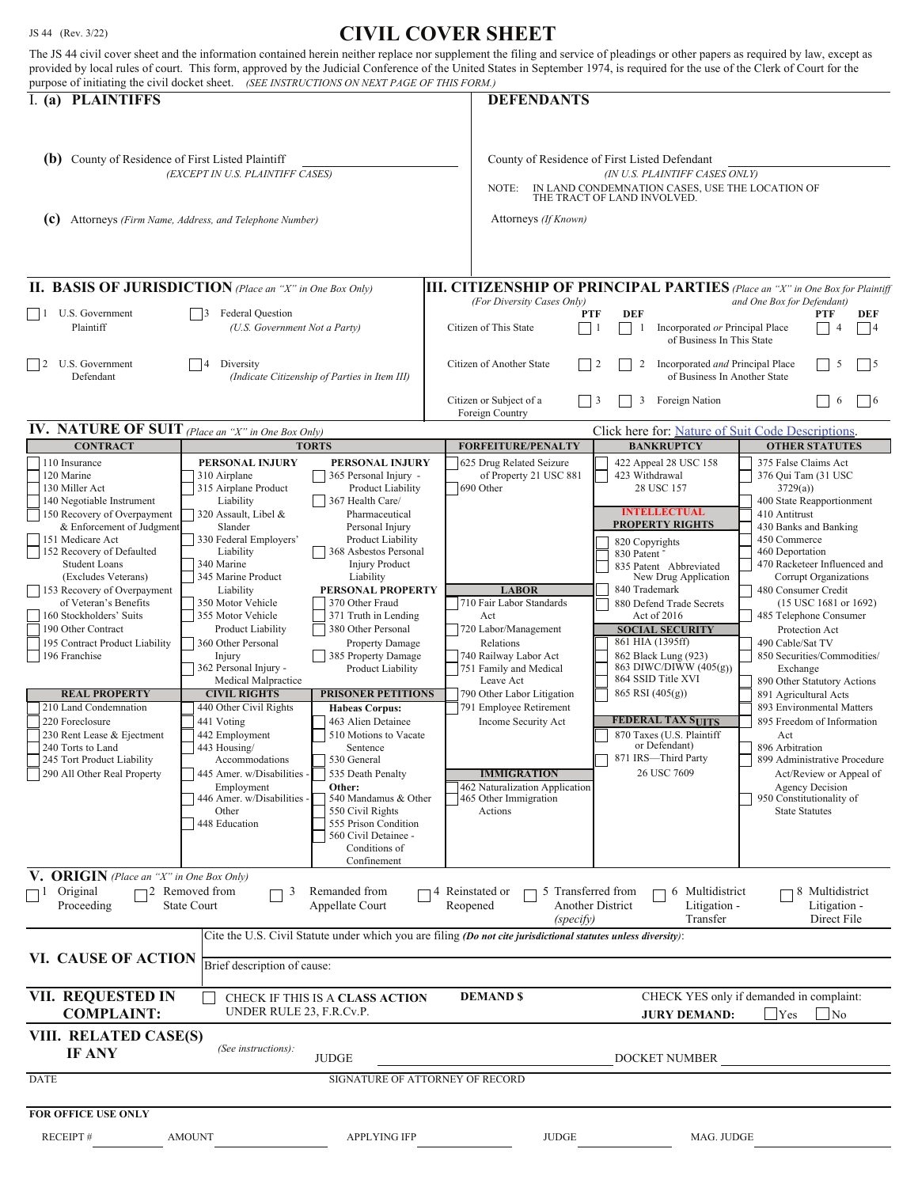## JS 44 (Rev. 3/22) **CIVIL COVER SHEET**

| The JS 44 civil cover sheet and the information contained herein neither replace nor supplement the filing and service of pleadings or other papers as required by law, except as<br>purpose of initiating the civil docket sheet. (SEE INSTRUCTIONS ON NEXT PAGE OF THIS FORM.)                                                                                                                                                                                                                                                                                                       |                                                                                                                                                                                                                                                                                                                                                                                                                                                                                                                                                                            |                                                                                                                                                                                                                                                                                                                                                                                                                                                                                                                                                                                                                                                                          | provided by local rules of court. This form, approved by the Judicial Conference of the United States in September 1974, is required for the use of the Clerk of Court for the                                                                                                                                                                                                                      |                                                                                                                                                                                                                                                                                                                                                                                                                                                                                                                    |                                                                                                                                                                                                                                                                                                                                                                                                                                                                                                                                                                                                                                                                                |
|----------------------------------------------------------------------------------------------------------------------------------------------------------------------------------------------------------------------------------------------------------------------------------------------------------------------------------------------------------------------------------------------------------------------------------------------------------------------------------------------------------------------------------------------------------------------------------------|----------------------------------------------------------------------------------------------------------------------------------------------------------------------------------------------------------------------------------------------------------------------------------------------------------------------------------------------------------------------------------------------------------------------------------------------------------------------------------------------------------------------------------------------------------------------------|--------------------------------------------------------------------------------------------------------------------------------------------------------------------------------------------------------------------------------------------------------------------------------------------------------------------------------------------------------------------------------------------------------------------------------------------------------------------------------------------------------------------------------------------------------------------------------------------------------------------------------------------------------------------------|-----------------------------------------------------------------------------------------------------------------------------------------------------------------------------------------------------------------------------------------------------------------------------------------------------------------------------------------------------------------------------------------------------|--------------------------------------------------------------------------------------------------------------------------------------------------------------------------------------------------------------------------------------------------------------------------------------------------------------------------------------------------------------------------------------------------------------------------------------------------------------------------------------------------------------------|--------------------------------------------------------------------------------------------------------------------------------------------------------------------------------------------------------------------------------------------------------------------------------------------------------------------------------------------------------------------------------------------------------------------------------------------------------------------------------------------------------------------------------------------------------------------------------------------------------------------------------------------------------------------------------|
| I. (a) PLAINTIFFS                                                                                                                                                                                                                                                                                                                                                                                                                                                                                                                                                                      |                                                                                                                                                                                                                                                                                                                                                                                                                                                                                                                                                                            |                                                                                                                                                                                                                                                                                                                                                                                                                                                                                                                                                                                                                                                                          | <b>DEFENDANTS</b>                                                                                                                                                                                                                                                                                                                                                                                   |                                                                                                                                                                                                                                                                                                                                                                                                                                                                                                                    |                                                                                                                                                                                                                                                                                                                                                                                                                                                                                                                                                                                                                                                                                |
| (b) County of Residence of First Listed Plaintiff<br>(EXCEPT IN U.S. PLAINTIFF CASES)<br>(c)<br>Attorneys (Firm Name, Address, and Telephone Number)                                                                                                                                                                                                                                                                                                                                                                                                                                   |                                                                                                                                                                                                                                                                                                                                                                                                                                                                                                                                                                            |                                                                                                                                                                                                                                                                                                                                                                                                                                                                                                                                                                                                                                                                          | County of Residence of First Listed Defendant<br>(IN U.S. PLAINTIFF CASES ONLY)<br>NOTE:<br>IN LAND CONDEMNATION CASES, USE THE LOCATION OF<br>THE TRACT OF LAND INVOLVED.<br>Attorneys (If Known)                                                                                                                                                                                                  |                                                                                                                                                                                                                                                                                                                                                                                                                                                                                                                    |                                                                                                                                                                                                                                                                                                                                                                                                                                                                                                                                                                                                                                                                                |
| <b>II. BASIS OF JURISDICTION</b> (Place an "X" in One Box Only)                                                                                                                                                                                                                                                                                                                                                                                                                                                                                                                        |                                                                                                                                                                                                                                                                                                                                                                                                                                                                                                                                                                            |                                                                                                                                                                                                                                                                                                                                                                                                                                                                                                                                                                                                                                                                          |                                                                                                                                                                                                                                                                                                                                                                                                     |                                                                                                                                                                                                                                                                                                                                                                                                                                                                                                                    | <b>III. CITIZENSHIP OF PRINCIPAL PARTIES</b> (Place an "X" in One Box for Plaintiff                                                                                                                                                                                                                                                                                                                                                                                                                                                                                                                                                                                            |
| U.S. Government<br>$\vert$   1<br>Plaintiff                                                                                                                                                                                                                                                                                                                                                                                                                                                                                                                                            | <b>Federal Question</b><br>(U.S. Government Not a Party)                                                                                                                                                                                                                                                                                                                                                                                                                                                                                                                   |                                                                                                                                                                                                                                                                                                                                                                                                                                                                                                                                                                                                                                                                          | (For Diversity Cases Only)<br>Citizen of This State                                                                                                                                                                                                                                                                                                                                                 | <b>DEF</b><br><b>PTF</b><br>Incorporated or Principal Place<br>1<br>$\perp$ 1<br>of Business In This State                                                                                                                                                                                                                                                                                                                                                                                                         | and One Box for Defendant)<br>PTF<br>DEF<br> 4<br>$\overline{4}$                                                                                                                                                                                                                                                                                                                                                                                                                                                                                                                                                                                                               |
| U.S. Government<br>$\vert$ 2<br>Defendant                                                                                                                                                                                                                                                                                                                                                                                                                                                                                                                                              | Diversity<br>(Indicate Citizenship of Parties in Item III)                                                                                                                                                                                                                                                                                                                                                                                                                                                                                                                 |                                                                                                                                                                                                                                                                                                                                                                                                                                                                                                                                                                                                                                                                          | Citizen of Another State                                                                                                                                                                                                                                                                                                                                                                            | 2<br>Incorporated and Principal Place<br>$\vert$ 2<br>of Business In Another State                                                                                                                                                                                                                                                                                                                                                                                                                                 | 5<br>$\vert 5 \vert$                                                                                                                                                                                                                                                                                                                                                                                                                                                                                                                                                                                                                                                           |
|                                                                                                                                                                                                                                                                                                                                                                                                                                                                                                                                                                                        |                                                                                                                                                                                                                                                                                                                                                                                                                                                                                                                                                                            |                                                                                                                                                                                                                                                                                                                                                                                                                                                                                                                                                                                                                                                                          | Citizen or Subject of a<br>Foreign Country                                                                                                                                                                                                                                                                                                                                                          | 3<br>Foreign Nation<br>$\perp$ 3                                                                                                                                                                                                                                                                                                                                                                                                                                                                                   | $\vert 6 \vert$<br>6                                                                                                                                                                                                                                                                                                                                                                                                                                                                                                                                                                                                                                                           |
| <b>IV. NATURE OF SUIT</b> (Place an "X" in One Box Only)<br><b>CONTRACT</b>                                                                                                                                                                                                                                                                                                                                                                                                                                                                                                            |                                                                                                                                                                                                                                                                                                                                                                                                                                                                                                                                                                            | <b>TORTS</b>                                                                                                                                                                                                                                                                                                                                                                                                                                                                                                                                                                                                                                                             | <b>FORFEITURE/PENALTY</b>                                                                                                                                                                                                                                                                                                                                                                           | Click here for: Nature of Suit Code Descriptions.<br><b>BANKRUPTCY</b>                                                                                                                                                                                                                                                                                                                                                                                                                                             | <b>OTHER STATUTES</b>                                                                                                                                                                                                                                                                                                                                                                                                                                                                                                                                                                                                                                                          |
| 110 Insurance<br>120 Marine<br>130 Miller Act<br>140 Negotiable Instrument<br>150 Recovery of Overpayment<br>& Enforcement of Judgment<br>151 Medicare Act<br>152 Recovery of Defaulted<br><b>Student Loans</b><br>(Excludes Veterans)<br>153 Recovery of Overpayment<br>of Veteran's Benefits<br>160 Stockholders' Suits<br>190 Other Contract<br>195 Contract Product Liability<br>196 Franchise<br><b>REAL PROPERTY</b><br>210 Land Condemnation<br>220 Foreclosure<br>230 Rent Lease & Ejectment<br>240 Torts to Land<br>245 Tort Product Liability<br>290 All Other Real Property | PERSONAL INJURY<br>310 Airplane<br>315 Airplane Product<br>Liability<br>320 Assault, Libel &<br>Slander<br>330 Federal Employers'<br>Liability<br>340 Marine<br>345 Marine Product<br>Liability<br>350 Motor Vehicle<br>355 Motor Vehicle<br><b>Product Liability</b><br>360 Other Personal<br>Injury<br>362 Personal Injury -<br>Medical Malpractice<br><b>CIVIL RIGHTS</b><br>440 Other Civil Rights<br>441 Voting<br>442 Employment<br>443 Housing/<br>Accommodations<br>445 Amer. w/Disabilities<br>Employment<br>446 Amer. w/Disabilities -<br>Other<br>448 Education | PERSONAL INJURY<br>365 Personal Injury -<br>Product Liability<br>367 Health Care/<br>Pharmaceutical<br>Personal Injury<br>Product Liability<br>368 Asbestos Personal<br><b>Injury Product</b><br>Liability<br>PERSONAL PROPERTY<br>370 Other Fraud<br>371 Truth in Lending<br>380 Other Personal<br><b>Property Damage</b><br>385 Property Damage<br><b>Product Liability</b><br><b>PRISONER PETITIONS</b><br><b>Habeas Corpus:</b><br>463 Alien Detainee<br>510 Motions to Vacate<br>Sentence<br>530 General<br>535 Death Penalty<br>Other:<br>540 Mandamus & Other<br>550 Civil Rights<br>555 Prison Condition<br>560 Civil Detainee -<br>Conditions of<br>Confinement | 625 Drug Related Seizure<br>of Property 21 USC 881<br>690 Other<br><b>LABOR</b><br>710 Fair Labor Standards<br>Act<br>720 Labor/Management<br>Relations<br>740 Railway Labor Act<br>751 Family and Medical<br>Leave Act<br>790 Other Labor Litigation<br>791 Employee Retirement<br>Income Security Act<br><b>IMMIGRATION</b><br>462 Naturalization Application<br>465 Other Immigration<br>Actions | 422 Appeal 28 USC 158<br>423 Withdrawal<br>28 USC 157<br><b>INTELLECTUAL</b><br><b>PROPERTY RIGHTS</b><br>820 Copyrights<br>830 Patent<br>835 Patent Abbreviated<br>New Drug Application<br>840 Trademark<br>880 Defend Trade Secrets<br>Act of 2016<br><b>SOCIAL SECURITY</b><br>861 HIA (1395ff)<br>862 Black Lung (923)<br>863 DIWC/DIWW (405(g))<br>864 SSID Title XVI<br>$865$ RSI $(405(g))$<br><b>FEDERAL TAX SUITS</b><br>870 Taxes (U.S. Plaintiff<br>or Defendant)<br>871 IRS-Third Party<br>26 USC 7609 | 375 False Claims Act<br>376 Qui Tam (31 USC)<br>3729(a)<br>400 State Reapportionment<br>410 Antitrust<br>430 Banks and Banking<br>450 Commerce<br>460 Deportation<br>470 Racketeer Influenced and<br>Corrupt Organizations<br>480 Consumer Credit<br>$(15$ USC 1681 or 1692)<br>485 Telephone Consumer<br>Protection Act<br>490 Cable/Sat TV<br>850 Securities/Commodities/<br>Exchange<br>890 Other Statutory Actions<br>891 Agricultural Acts<br>893 Environmental Matters<br>895 Freedom of Information<br>Act<br>896 Arbitration<br>899 Administrative Procedure<br>Act/Review or Appeal of<br><b>Agency Decision</b><br>950 Constitutionality of<br><b>State Statutes</b> |
| V. ORIGIN (Place an "X" in One Box Only)<br>Original<br>$\Box$ <sup>1</sup><br>Proceeding                                                                                                                                                                                                                                                                                                                                                                                                                                                                                              | $\Box$ 2 Removed from<br>3<br><b>State Court</b>                                                                                                                                                                                                                                                                                                                                                                                                                                                                                                                           | Remanded from<br>Appellate Court                                                                                                                                                                                                                                                                                                                                                                                                                                                                                                                                                                                                                                         | 4 Reinstated or<br>5 Transferred from<br>Reopened<br>(specify)<br>Cite the U.S. Civil Statute under which you are filing (Do not cite jurisdictional statutes unless diversity):                                                                                                                                                                                                                    | 6 Multidistrict<br><b>Another District</b><br>Litigation -<br>Transfer                                                                                                                                                                                                                                                                                                                                                                                                                                             | 8 Multidistrict<br>Litigation -<br>Direct File                                                                                                                                                                                                                                                                                                                                                                                                                                                                                                                                                                                                                                 |
| VI. CAUSE OF ACTION                                                                                                                                                                                                                                                                                                                                                                                                                                                                                                                                                                    | Brief description of cause:                                                                                                                                                                                                                                                                                                                                                                                                                                                                                                                                                |                                                                                                                                                                                                                                                                                                                                                                                                                                                                                                                                                                                                                                                                          |                                                                                                                                                                                                                                                                                                                                                                                                     |                                                                                                                                                                                                                                                                                                                                                                                                                                                                                                                    |                                                                                                                                                                                                                                                                                                                                                                                                                                                                                                                                                                                                                                                                                |
| VII. REQUESTED IN<br>CHECK YES only if demanded in complaint:<br><b>DEMAND \$</b><br>CHECK IF THIS IS A CLASS ACTION<br><b>COMPLAINT:</b><br>UNDER RULE 23, F.R.Cv.P.<br>Yes<br>N <sub>o</sub><br><b>JURY DEMAND:</b>                                                                                                                                                                                                                                                                                                                                                                  |                                                                                                                                                                                                                                                                                                                                                                                                                                                                                                                                                                            |                                                                                                                                                                                                                                                                                                                                                                                                                                                                                                                                                                                                                                                                          |                                                                                                                                                                                                                                                                                                                                                                                                     |                                                                                                                                                                                                                                                                                                                                                                                                                                                                                                                    |                                                                                                                                                                                                                                                                                                                                                                                                                                                                                                                                                                                                                                                                                |
| VIII. RELATED CASE(S)<br><b>IF ANY</b>                                                                                                                                                                                                                                                                                                                                                                                                                                                                                                                                                 | (See instructions):                                                                                                                                                                                                                                                                                                                                                                                                                                                                                                                                                        | <b>JUDGE</b>                                                                                                                                                                                                                                                                                                                                                                                                                                                                                                                                                                                                                                                             |                                                                                                                                                                                                                                                                                                                                                                                                     | DOCKET NUMBER                                                                                                                                                                                                                                                                                                                                                                                                                                                                                                      |                                                                                                                                                                                                                                                                                                                                                                                                                                                                                                                                                                                                                                                                                |
| <b>DATE</b><br>SIGNATURE OF ATTORNEY OF RECORD                                                                                                                                                                                                                                                                                                                                                                                                                                                                                                                                         |                                                                                                                                                                                                                                                                                                                                                                                                                                                                                                                                                                            |                                                                                                                                                                                                                                                                                                                                                                                                                                                                                                                                                                                                                                                                          |                                                                                                                                                                                                                                                                                                                                                                                                     |                                                                                                                                                                                                                                                                                                                                                                                                                                                                                                                    |                                                                                                                                                                                                                                                                                                                                                                                                                                                                                                                                                                                                                                                                                |
| FOR OFFICE USE ONLY                                                                                                                                                                                                                                                                                                                                                                                                                                                                                                                                                                    |                                                                                                                                                                                                                                                                                                                                                                                                                                                                                                                                                                            |                                                                                                                                                                                                                                                                                                                                                                                                                                                                                                                                                                                                                                                                          |                                                                                                                                                                                                                                                                                                                                                                                                     |                                                                                                                                                                                                                                                                                                                                                                                                                                                                                                                    |                                                                                                                                                                                                                                                                                                                                                                                                                                                                                                                                                                                                                                                                                |
| <b>RECEIPT#</b>                                                                                                                                                                                                                                                                                                                                                                                                                                                                                                                                                                        | <b>AMOUNT</b>                                                                                                                                                                                                                                                                                                                                                                                                                                                                                                                                                              | <b>APPLYING IFP</b>                                                                                                                                                                                                                                                                                                                                                                                                                                                                                                                                                                                                                                                      | <b>JUDGE</b>                                                                                                                                                                                                                                                                                                                                                                                        | MAG. JUDGE                                                                                                                                                                                                                                                                                                                                                                                                                                                                                                         |                                                                                                                                                                                                                                                                                                                                                                                                                                                                                                                                                                                                                                                                                |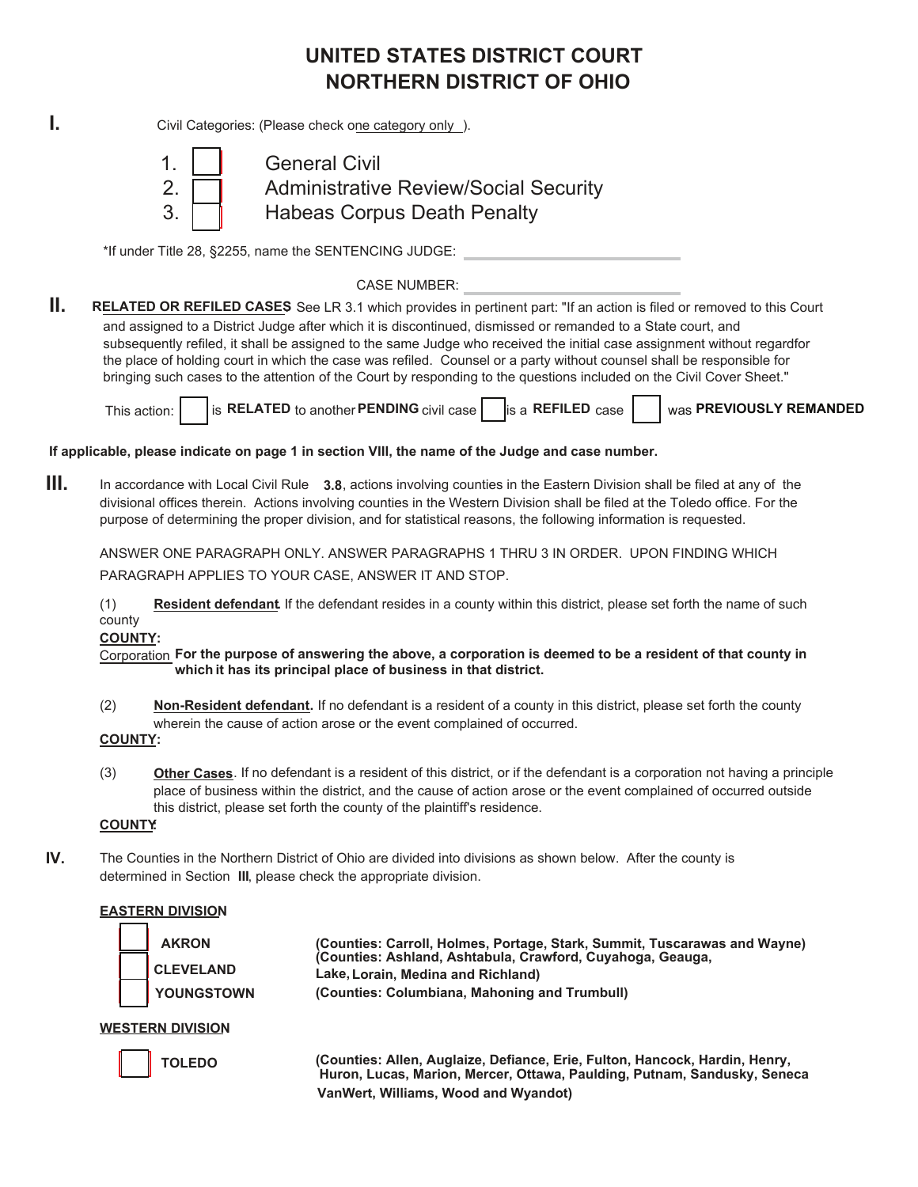# **UNITED STATES DISTRICT COURT NORTHERN DISTRICT OF OHIO**

**I.** Civil Categories: (Please check one category only ).



1. **I** General Civil 2. **Quart Administrative Review/Social Security** 3. **Habeas Corpus Death Penalty** 

\*If under Title 28, §2255, name the SENTENCING JUDGE:

CASE NUMBER:

**II. RELATED OR REFILED CASES**. See LR 3.1 which provides in pertinent part: "If an action is filed or removed to this Court and assigned to a District Judge after which it is discontinued, dismissed or remanded to a State court, and subsequently refiled, it shall be assigned to the same Judge who received the initial case assignment without regardfor the place of holding court in which the case was refiled. Counsel or a party without counsel shall be responsible for bringing such cases to the attention of the Court by responding to the questions included on the Civil Cover Sheet."

This action: **i** is **RELATED** to another **PENDING** civil case is a **REFILED** case

was **PREVIOUSLY REMANDED**

**If applicable, please indicate on page 1 in section VIII, the name of the Judge and case number.**

**III.** In accordance with Local Civil Rule **3.8**, actions involving counties in the Eastern Division shall be filed at any of the divisional offices therein. Actions involving counties in the Western Division shall be filed at the Toledo office. For the purpose of determining the proper division, and for statistical reasons, the following information is requested.

ANSWER ONE PARAGRAPH ONLY. ANSWER PARAGRAPHS 1 THRU 3 IN ORDER. UPON FINDING WHICH PARAGRAPH APPLIES TO YOUR CASE, ANSWER IT AND STOP.

(1) **Resident defendant.** If the defendant resides in a county within this district, please set forth the name of such county

**COUNTY:**

Corporation **For the purpose of answering the above, a corporation is deemed to be a resident of that county in which it has its principal place of business in that district.**

- (2) **Non-Resident defendant.** If no defendant is a resident of a county in this district, please set forth the county wherein the cause of action arose or the event complained of occurred.
- **COUNTY:**
- (3) **Other Cases**. If no defendant is a resident of this district, or if the defendant is a corporation not having a principle place of business within the district, and the cause of action arose or the event complained of occurred outside this district, please set forth the county of the plaintiff's residence.

### **COUNTY:**

**IV.** The Counties in the Northern District of Ohio are divided into divisions as shown below. After the county is determined in Section **III**, please check the appropriate division.

### **EASTERN DIVISION**



 **AKRON (Counties: Carroll, Holmes, Portage, Stark, Summit, Tuscarawas and Wayne) CLEVELAND (Counties: Ashland, Ashtabula, Crawford, Cuyahoga, Geauga, Lake, Lorain, Medina and Richland) YOUNGSTOWN (Counties: Columbiana, Mahoning and Trumbull)**

**WESTERN DIVISION**

 **TOLEDO (Counties: Allen, Auglaize, Defiance, Erie, Fulton, Hancock, Hardin, Henry, Huron, Lucas, Marion, Mercer, Ottawa, Paulding, Putnam, Sandusky, Seneca VanWert, Williams, Wood and Wyandot)**